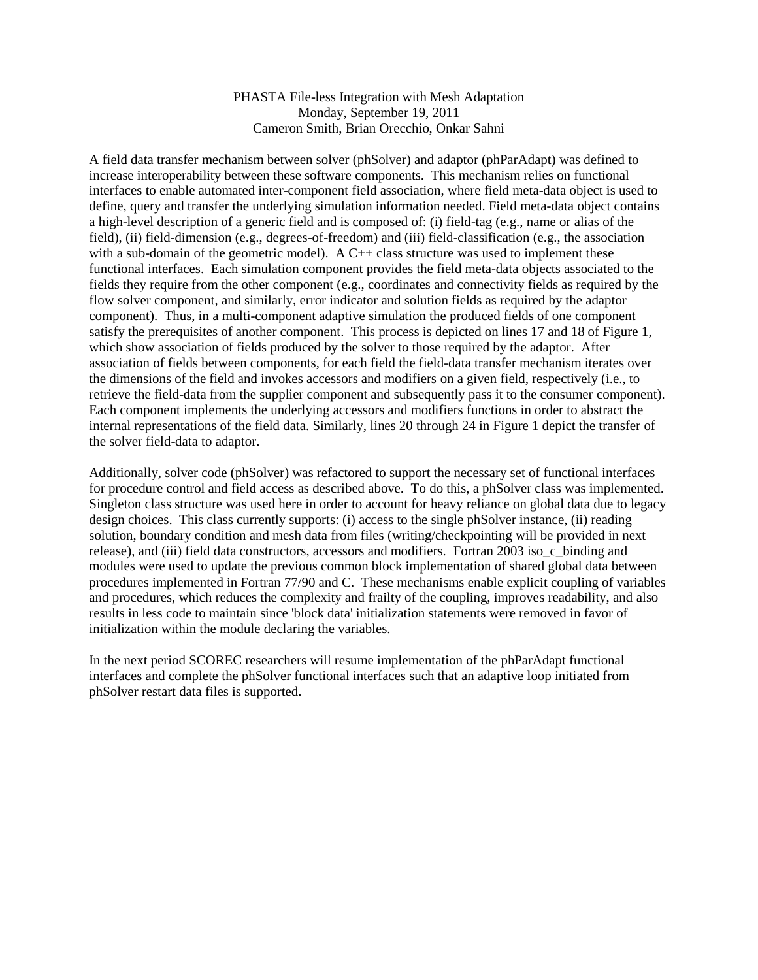## PHASTA File-less Integration with Mesh Adaptation Monday, September 19, 2011 Cameron Smith, Brian Orecchio, Onkar Sahni

A field data transfer mechanism between solver (phSolver) and adaptor (phParAdapt) was defined to increase interoperability between these software components. This mechanism relies on functional interfaces to enable automated inter-component field association, where field meta-data object is used to define, query and transfer the underlying simulation information needed. Field meta-data object contains a high-level description of a generic field and is composed of: (i) field-tag (e.g., name or alias of the field), (ii) field-dimension (e.g., degrees-of-freedom) and (iii) field-classification (e.g., the association with a sub-domain of the geometric model). A C++ class structure was used to implement these functional interfaces. Each simulation component provides the field meta-data objects associated to the fields they require from the other component (e.g., coordinates and connectivity fields as required by the flow solver component, and similarly, error indicator and solution fields as required by the adaptor component). Thus, in a multi-component adaptive simulation the produced fields of one component satisfy the prerequisites of another component. This process is depicted on lines 17 and 18 of Figure 1, which show association of fields produced by the solver to those required by the adaptor. After association of fields between components, for each field the field-data transfer mechanism iterates over the dimensions of the field and invokes accessors and modifiers on a given field, respectively (i.e., to retrieve the field-data from the supplier component and subsequently pass it to the consumer component). Each component implements the underlying accessors and modifiers functions in order to abstract the internal representations of the field data. Similarly, lines 20 through 24 in Figure 1 depict the transfer of the solver field-data to adaptor.

Additionally, solver code (phSolver) was refactored to support the necessary set of functional interfaces for procedure control and field access as described above. To do this, a phSolver class was implemented. Singleton class structure was used here in order to account for heavy reliance on global data due to legacy design choices. This class currently supports: (i) access to the single phSolver instance, (ii) reading solution, boundary condition and mesh data from files (writing/checkpointing will be provided in next release), and (iii) field data constructors, accessors and modifiers. Fortran 2003 iso\_c\_binding and modules were used to update the previous common block implementation of shared global data between procedures implemented in Fortran 77/90 and C. These mechanisms enable explicit coupling of variables and procedures, which reduces the complexity and frailty of the coupling, improves readability, and also results in less code to maintain since 'block data' initialization statements were removed in favor of initialization within the module declaring the variables.

In the next period SCOREC researchers will resume implementation of the phParAdapt functional interfaces and complete the phSolver functional interfaces such that an adaptive loop initiated from phSolver restart data files is supported.